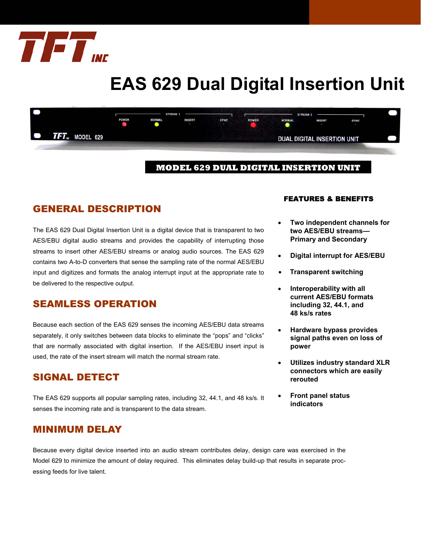

# **EAS 629 Dual Digital Insertion Unit**



#### **MODEL 629 DUAL DIGITAL INSERTION UNIT**

## GENERAL DESCRIPTION

The EAS 629 Dual Digital Insertion Unit is a digital device that is transparent to two AES/EBU digital audio streams and provides the capability of interrupting those streams to insert other AES/EBU streams or analog audio sources. The EAS 629 contains two A-to-D converters that sense the sampling rate of the normal AES/EBU input and digitizes and formats the analog interrupt input at the appropriate rate to be delivered to the respective output.

## SEAMLESS OPERATION

Because each section of the EAS 629 senses the incoming AES/EBU data streams separately, it only switches between data blocks to eliminate the "pops" and "clicks" that are normally associated with digital insertion. If the AES/EBU insert input is used, the rate of the insert stream will match the normal stream rate.

## SIGNAL DETECT

The EAS 629 supports all popular sampling rates, including 32, 44.1, and 48 ks/s. It senses the incoming rate and is transparent to the data stream.

## MINIMUM DELAY

Because every digital device inserted into an audio stream contributes delay, design care was exercised in the Model 629 to minimize the amount of delay required. This eliminates delay build-up that results in separate processing feeds for live talent.

#### FEATURES & BENEFITS

- **Two independent channels for two AES/EBU streams— Primary and Secondary**
- **Digital interrupt for AES/EBU**
- **Transparent switching**
- **Interoperability with all current AES/EBU formats including 32, 44.1, and 48 ks/s rates**
- **Hardware bypass provides signal paths even on loss of power**
- **Utilizes industry standard XLR connectors which are easily rerouted**
- **Front panel status indicators**